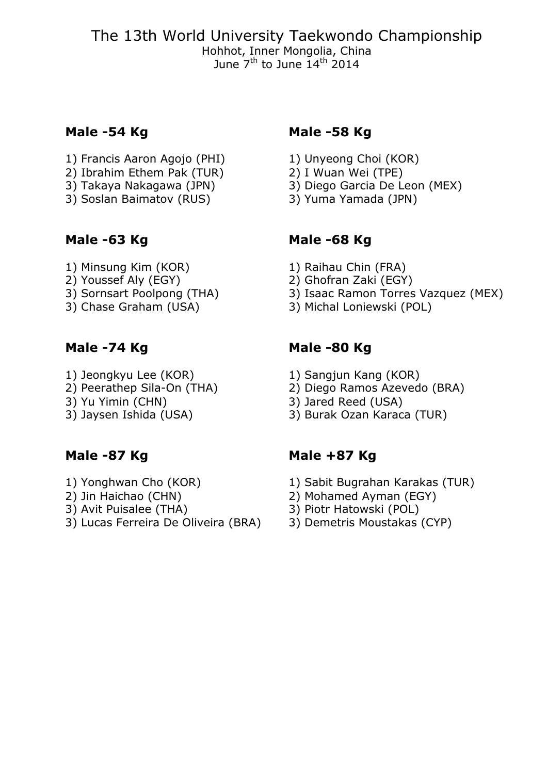The 13th World University Taekwondo Championship Hohhot, Inner Mongolia, China June 7<sup>th</sup> to June 14<sup>th</sup> 2014

- 1) Francis Aaron Agojo (PHI) 1) Unyeong Choi (KOR)<br>2) Ibrahim Ethem Pak (TUR) 2) I Wuan Wei (TPE)
- 2) Ibrahim Ethem Pak (TUR)<br>3) Takaya Nakagawa (JPN)
- 
- $3)$  Soslan Baimatov (RUS)

- 1) Minsung Kim (KOR) 1) Raihau Chin (FRA)<br>2) Youssef Aly (EGY) 2) Ghofran Zaki (EGY
- 
- 2) Youssef Aly (EGY)<br>
2) Ghofran Zaki (EGY)<br>
3) Sornsart Poolpong (THA) 3) Isaac Ramon Torres
- 

- 
- 1) Jeongkyu Lee (KOR) 1) Sangjun Kang (KOR)<br>2) Peerathep Sila-On (THA) 2) Diego Ramos Azeved
- 
- 

- 
- 
- 
- 3) Lucas Ferreira De Oliveira (BRA)

# **Male -54 Kg Male -58 Kg**

- 
- 
- 3) Diego Garcia De Leon (MEX)<br>3) Yuma Yamada (JPN)
- 

# **Male -63 Kg Male -68 Kg**

- 
- 
- 3) Sornsart Poolpong (THA) 3) Isaac Ramon Torres Vazquez (MEX)<br>3) Chase Graham (USA) 3) Michal Loniewski (POL)
	- 3) Michal Loniewski (POL)

# **Male -74 Kg Male -80 Kg**

- 
- 2) Peerathep Sila-On (THA) 2) Diego Ramos Azevedo (BRA)<br>3) Yu Yimin (CHN) 3) Jared Reed (USA)
	- 3) Jared Reed (USA)
- 3) Jaysen Ishida (USA) 3) Burak Ozan Karaca (TUR)

# Male -87 Kg **Male +87 Kg**

- 1) Yonghwan Cho (KOR) 1) Sabit Bugrahan Karakas (TUR)
- 2) Jin Haichao (CHN)<br>
2) Avit Puisalee (THA) (3) Piotr Hatowski (POL)
	-
	- 3) Piotr Hatowski (POL)<br>3) Demetris Moustakas (CYP)